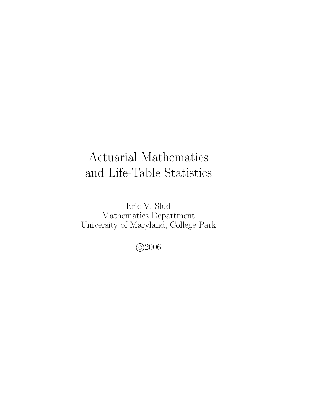# Actuarial Mathematics and Life-Table Statistics

Eric V. Slud Mathematics Department University of Maryland, College Park

c 2006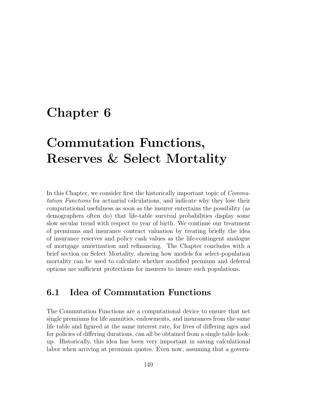## Chapter 6

# Commutation Functions, Reserves & Select Mortality

In this Chapter, we consider first the historically important topic of *Commu*tation Functions for actuarial calculations, and indicate why they lose their computational usefulness as soon as the insurer entertains the possibility (as demographers often do) that life-table survival probabilities display some slow secular trend with respect to year of birth. We continue our treatment of premiums and insurance contract valuation by treating briefly the idea of insurance reserves and policy cash values as the life-contingent analogue of mortgage amortization and refinancing. The Chapter concludes with a brief section on Select Mortality, showing how models for select-population mortality can be used to calculate whether modified premium and deferral options are sufficient protections for insurers to insure such populations.

## 6.1 Idea of Commutation Functions

The Commutation Functions are a computational device to ensure that net single premiums for life annuities, endowments, and insurances from the same life table and figured at the same interest rate, for lives of differing ages and for policies of differing durations, can all be obtained from a single table lookup. Historically, this idea has been very important in saving calculational labor when arriving at premium quotes. Even now, assuming that a govern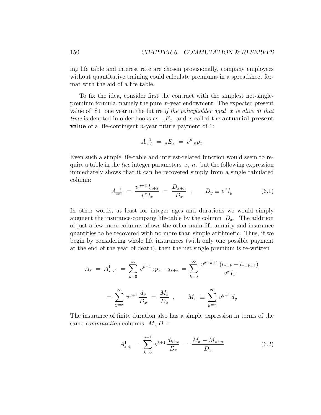ing life table and interest rate are chosen provisionally, company employees without quantitative training could calculate premiums in a spreadsheet format with the aid of a life table.

To fix the idea, consider first the contract with the simplest net-singlepremium formula, namely the pure n-year endowment. The expected present value of \$1 one year in the future if the policyholder aged  $x$  is alive at that time is denoted in older books as  $nE_x$  and is called the **actuarial present value** of a life-contingent  $n$ -year future payment of 1:

$$
A_{\overline{x:n}}^1 = {}_nE_x = v^n {}_n p_x
$$

Even such a simple life-table and interest-related function would seem to require a table in the two integer parameters  $x, n$ , but the following expression immediately shows that it can be recovered simply from a single tabulated column:

$$
A_{\overline{x:\overline{n}}}\,^1 = \frac{v^{n+x} \, l_{n+x}}{v^x \, l_x} = \frac{D_{x+n}}{D_x} \, , \qquad D_y \equiv v^y \, l_y \tag{6.1}
$$

In other words, at least for integer ages and durations we would simply augment the insurance-company life-table by the column  $D_x$ . The addition of just a few more columns allows the other main life-annuity and insurance quantities to be recovered with no more than simple arithmetic. Thus, if we begin by considering whole life insurances (with only one possible payment at the end of the year of death), then the net single premium is re-written

$$
A_x = A_{\overline{x}:\infty}^1 = \sum_{k=0}^{\infty} v^{k+1} k p_x \cdot q_{x+k} = \sum_{k=0}^{\infty} \frac{v^{x+k+1} (l_{x+k} - l_{x+k+1})}{v^x l_x}
$$

$$
= \sum_{y=x}^{\infty} v^{y+1} \frac{d_y}{D_x} = \frac{M_x}{D_x} , \qquad M_x \equiv \sum_{y=x}^{\infty} v^{y+1} d_y
$$

The insurance of finite duration also has a simple expression in terms of the same *commutation* columns  $M, D$ :

$$
A_{\overline{x}:\overline{n}|}^1 = \sum_{k=0}^{n-1} v^{k+1} \frac{d_{k+x}}{D_x} = \frac{M_x - M_{x+n}}{D_x}
$$
 (6.2)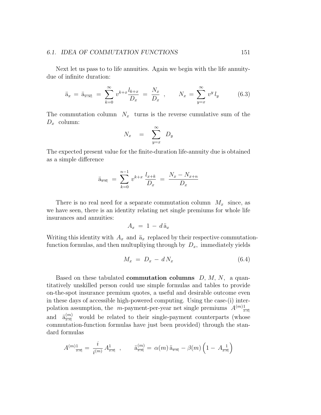#### 6.1. IDEA OF COMMUTATION FUNCTIONS 151

Next let us pass to to life annuities. Again we begin with the life annuitydue of infinite duration:

$$
\ddot{a}_x = \ddot{a}_{\overline{x}:\infty} = \sum_{k=0}^{\infty} v^{k+x} \frac{l_{k+x}}{D_x} = \frac{N_x}{D_x} , \qquad N_x = \sum_{y=x}^{\infty} v^y l_y \qquad (6.3)
$$

The commutation column  $N_x$  turns is the reverse cumulative sum of the  $D_x$  column:

$$
N_x = \sum_{y=x}^{\infty} D_y
$$

The expected present value for the finite-duration life-annuity due is obtained as a simple difference

$$
\ddot{a}_{\overline{x}:\overline{n}|} = \sum_{k=0}^{n-1} v^{k+x} \frac{l_{x+k}}{D_x} = \frac{N_x - N_{x+n}}{D_x}
$$

There is no real need for a separate commutation column  $M_x$  since, as we have seen, there is an identity relating net single premiums for whole life insurances and annuities:

$$
A_x = 1 - d\ddot{a}_x
$$

Writing this identity with  $A_x$  and  $\ddot{a}_x$  replaced by their respective commutationfunction formulas, and then multupliying through by  $D_x$ , immediately yields

$$
M_x = D_x - dN_x \tag{6.4}
$$

Based on these tabulated **commutation columns**  $D, M, N$ , a quantitatively unskilled person could use simple formulas and tables to provide on-the-spot insurance premium quotes, a useful and desirable outcome even in these days of accessible high-powered computing. Using the case-(i) interpolation assumption, the *m*-payment-per-year net single premiums  $A^{(m)}_{\overline{x}:\overline{n}}$ and  $\ddot{a}^{(m)}_{\overline{x};\overline{n}}$  would be related to their single-payment counterparts (whose commutation-function formulas have just been provided) through the standard formulas

$$
A^{(m)}_{\overline{x}:\overline{n}|} = \frac{i}{i^{(m)}} A^{1}_{\overline{x}:\overline{n}|} , \qquad \ddot{\mathbf{a}}^{(m)}_{\overline{x}:\overline{n}|} = \alpha(m) \ddot{\mathbf{a}}_{\overline{x}:\overline{n}|} - \beta(m) \left(1 - A^{-1}_{\overline{x}:\overline{n}|}\right)
$$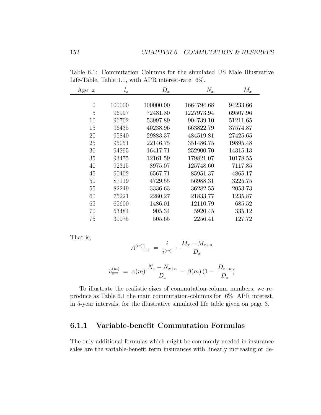| Age<br>$\boldsymbol{x}$ | $l_x$  | $D_x$     | $N_x$      | $M_x$    |
|-------------------------|--------|-----------|------------|----------|
|                         |        |           |            |          |
| $\theta$                | 100000 | 100000.00 | 1664794.68 | 94233.66 |
| 5                       | 96997  | 72481.80  | 1227973.94 | 69507.96 |
| 10                      | 96702  | 53997.89  | 904739.10  | 51211.65 |
| 15                      | 96435  | 40238.96  | 663822.79  | 37574.87 |
| 20                      | 95840  | 29883.37  | 484519.81  | 27425.65 |
| 25                      | 95051  | 22146.75  | 351486.75  | 19895.48 |
| 30                      | 94295  | 16417.71  | 252900.70  | 14315.13 |
| 35                      | 93475  | 12161.59  | 179821.07  | 10178.55 |
| 40                      | 92315  | 8975.07   | 125748.60  | 7117.85  |
| 45                      | 90402  | 6567.71   | 85951.37   | 4865.17  |
| 50                      | 87119  | 4729.55   | 56988.31   | 3225.75  |
| 55                      | 82249  | 3336.63   | 36282.55   | 2053.73  |
| 60                      | 75221  | 2280.27   | 21833.77   | 1235.87  |
| 65                      | 65600  | 1486.01   | 12110.79   | 685.52   |
| 70                      | 53484  | 905.34    | 5920.45    | 335.12   |
| 75                      | 39975  | 505.65    | 2256.41    | 127.72   |

Table 6.1: Commutation Columns for the simulated US Male Illustrative Life-Table, Table 1.1, with APR interest-rate 6%.

That is,

$$
A^{(m)}_{\overline{x:n}} = \frac{i}{i^{(m)}} \cdot \frac{M_x - M_{x+n}}{D_x}
$$

$$
\ddot{a}_{\overline{x}:\overline{n}|}^{(m)} = \alpha(m) \frac{N_x - N_{x+n}}{D_x} - \beta(m) (1 - \frac{D_{x+n}}{D_x})
$$

To illustrate the realistic sizes of commutation-column numbers, we reproduce as Table 6.1 the main commutation-columns for 6% APR interest, in 5-year intervals, for the illustrative simulated life table given on page 3.

### 6.1.1 Variable-benefit Commutation Formulas

The only additional formulas which might be commonly needed in insurance sales are the variable-benefit term insurances with linearly increasing or de-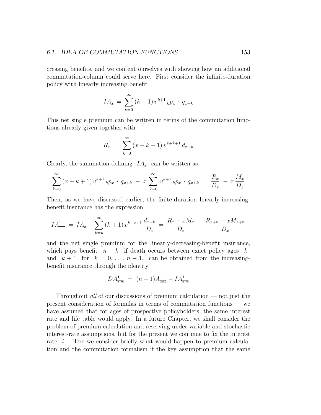#### 6.1. IDEA OF COMMUTATION FUNCTIONS 153

creasing benefits, and we content ourselves with showing how an additional commutation-column could serve here. First consider the infinite-duration policy with linearly increasing benefit

$$
IA_x = \sum_{k=0}^{\infty} (k+1) v^{k+1} k p_x \cdot q_{x+k}
$$

This net single premium can be written in terms of the commutation functions already given together with

$$
R_x = \sum_{k=0}^{\infty} (x + k + 1) v^{x + k + 1} d_{x + k}
$$

Clearly, the summation defining  $IA_x$  can be written as

$$
\sum_{k=0}^{\infty} (x + k + 1) v^{k+1} k p_x \cdot q_{x+k} - x \sum_{k=0}^{\infty} v^{k+1} k p_x \cdot q_{x+k} = \frac{R_x}{D_x} - x \frac{M_x}{D_x}
$$

Then, as we have discussed earlier, the finite-duration linearly-increasingbenefit insurance has the expression

$$
IA_{\overline{x:n}}^1 = IA_x - \sum_{k=n}^{\infty} (k+1) v^{k+x+1} \frac{d_{x+k}}{D_x} = \frac{R_x - xM_x}{D_x} - \frac{R_{x+n} - xM_{x+n}}{D_x}
$$

and the net single premium for the linearly-decreasing-benefit insurance, which pays benefit  $n - k$  if death occurs between exact policy ages k and  $k+1$  for  $k = 0, \ldots, n-1$ , can be obtained from the increasingbenefit insurance through the identity

$$
DA^1_{\overline{x:n}} = (n+1)A^1_{\overline{x:n}} - IA^1_{\overline{x:n}}
$$

Throughout all of our discussions of premium calculation — not just the present consideration of formulas in terms of commutation functions — we have assumed that for ages of prospective policyholders, the same interest rate and life table would apply. In a future Chapter, we shall consider the problem of premium calculation and reserving under variable and stochastic interest-rate assumptions, but for the present we continue to fix the interest rate *i*. Here we consider briefly what would happen to premium calculation and the commutation formalism if the key assumption that the same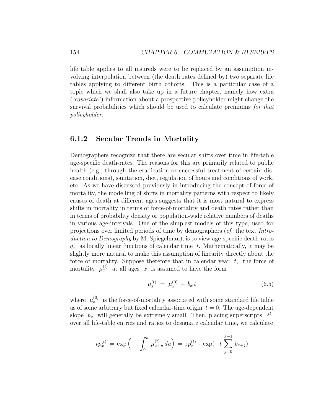life table applies to all insureds were to be replaced by an assumption involving interpolation between (the death rates defined by) two separate life tables applying to different birth cohorts. This is a particular case of a topic which we shall also take up in a future chapter, namely how extra ('covariate') information about a prospective policyholder might change the survival probabilities which should be used to calculate premiums for that policyholder.

#### 6.1.2 Secular Trends in Mortality

Demographers recognize that there are secular shifts over time in life-table age-specific death-rates. The reasons for this are primarily related to public health (e.g., through the eradication or successful treatment of certain disease conditions), sanitation, diet, regulation of hours and conditions of work, etc. As we have discussed previously in introducing the concept of force of mortality, the modelling of shifts in mortality patterns with respect to likely causes of death at different ages suggests that it is most natural to express shifts in mortality in terms of force-of-mortality and death rates rather than in terms of probability density or population-wide relative numbers of deaths in various age-intervals. One of the simplest models of this type, used for projections over limited periods of time by demographers (cf. the text Introduction to Demography by M. Spiegelman), is to view age-specific death-rates  $q_x$  as locally linear functions of calendar time t. Mathematically, it may be slightly more natural to make this assumption of linearity directly about the force of mortality. Suppose therefore that in calendar year  $t$ , the force of mortality  $\mu_x^{(t)}$  at all ages x is assumed to have the form

$$
\mu_x^{(t)} = \mu_x^{(0)} + b_x t \tag{6.5}
$$

where  $\mu_x^{(0)}$  is the force-of-mortality associated with some standard life table as of some arbitrary but fixed calendar-time origin  $t = 0$ . The age-dependent slope  $b_x$  will generally be extremely small. Then, placing superscripts  $(1)$ over all life-table entries and ratios to designate calendar time, we calculate

$$
_{k}p_{x}^{(t)} = \exp \Big( - \int_{0}^{k} \mu_{x+u}^{(t)} du \Big) = \ _{k}p_{x}^{(t)} \cdot \exp(-t \sum_{j=0}^{k-1} b_{x+j})
$$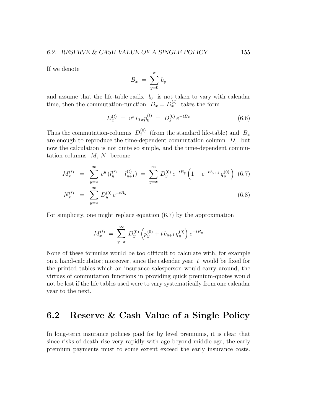If we denote

$$
B_x = \sum_{y=0}^x b_y
$$

and assume that the life-table radix  $l_0$  is not taken to vary with calendar time, then the commutation-function  $D_x = D_x^{(t)}$  takes the form

$$
D_x^{(t)} = v^x l_0 x p_0^{(t)} = D_x^{(0)} e^{-t B_x}
$$
 (6.6)

Thus the commutation-columns  $D_x^{(0)}$  (from the standard life-table) and  $B_x$ are enough to reproduce the time-dependent commutation column D, but now the calculation is not quite so simple, and the time-dependent commutation columns  $M, N$  become

$$
M_x^{(t)} = \sum_{y=x}^{\infty} v^y (l_y^{(t)} - l_{y+1}^{(t)}) = \sum_{y=x}^{\infty} D_y^{(0)} e^{-tB_y} \left( 1 - e^{-t b_{y+1}} q_y^{(0)} \right) (6.7)
$$
  

$$
N_x^{(t)} = \sum_{y=x}^{\infty} D_y^{(0)} e^{-tB_y}
$$
(6.8)

For simplicity, one might replace equation (6.7) by the approximation

$$
M_x^{(t)} = \sum_{y=x}^{\infty} D_y^{(0)} \left( p_y^{(0)} + t b_{y+1} q_y^{(0)} \right) e^{-t B_y}
$$

None of these formulas would be too difficult to calculate with, for example on a hand-calculator; moreover, since the calendar year  $t$  would be fixed for the printed tables which an insurance salesperson would carry around, the virtues of commutation functions in providing quick premium-quotes would not be lost if the life tables used were to vary systematically from one calendar year to the next.

## 6.2 Reserve & Cash Value of a Single Policy

In long-term insurance policies paid for by level premiums, it is clear that since risks of death rise very rapidly with age beyond middle-age, the early premium payments must to some extent exceed the early insurance costs.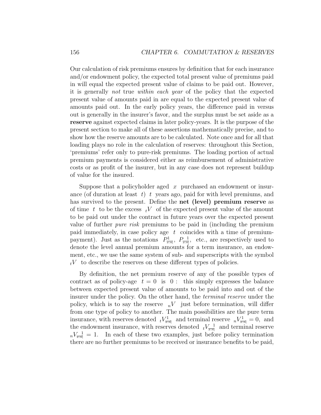Our calculation of risk premiums ensures by definition that for each insurance and/or endowment policy, the expected total present value of premiums paid in will equal the expected present value of claims to be paid out. However, it is generally not true within each year of the policy that the expected present value of amounts paid in are equal to the expected present value of amounts paid out. In the early policy years, the difference paid in versus out is generally in the insurer's favor, and the surplus must be set aside as a reserve against expected claims in later policy-years. It is the purpose of the present section to make all of these assertions mathematically precise, and to show how the reserve amounts are to be calculated. Note once and for all that loading plays no role in the calculation of reserves: throughout this Section, 'premiums' refer only to pure-risk premiums. The loading portion of actual premium payments is considered either as reimbursement of administrative costs or as profit of the insurer, but in any case does not represent buildup of value for the insured.

Suppose that a policyholder aged  $x$  purchased an endowment or insurance (of duration at least  $t$ ) t years ago, paid for with level premiums, and has survived to the present. Define the net (level) premium reserve as of time t to be the excess  $tV$  of the expected present value of the amount to be paid out under the contract in future years over the expected present value of further pure risk premiums to be paid in (including the premium paid immediately, in case policy age  $t$  coincides with a time of premiumpayment). Just as the notations  $P_{\overline{x}:m}^1$ ,  $P_{\overline{x}:m}^1$ , etc., are respectively used to denote the level annual premium amounts for a term insurance, an endowment, etc., we use the same system of sub- and superscripts with the symbol  $tV$  to describe the reserves on these different types of policies.

By definition, the net premium reserve of any of the possible types of contract as of policy-age  $t = 0$  is  $0$ : this simply expresses the balance between expected present value of amounts to be paid into and out of the insurer under the policy. On the other hand, the terminal reserve under the policy, which is to say the reserve  $nV$  just before termination, will differ from one type of policy to another. The main possibilities are the pure term insurance, with reserves denoted  $tV^1_{\overline{x}:\overline{n}|}$  and terminal reserve  $nV^1_{\overline{x}:\overline{n}|} = 0$ , and the endowment insurance, with reserves denoted  $tV_{\overline{x}:\overline{n}|}$  and terminal reserve  $n_v = 1$ . In each of these two examples, just before policy termination there are no further premiums to be received or insurance benefits to be paid,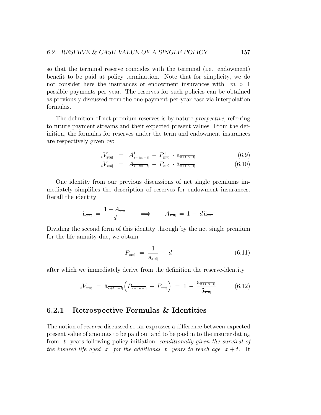so that the terminal reserve coincides with the terminal (i.e., endowment) benefit to be paid at policy termination. Note that for simplicity, we do not consider here the insurances or endowment insurances with  $m > 1$ possible payments per year. The reserves for such policies can be obtained as previously discussed from the one-payment-per-year case via interpolation formulas.

The definition of net premium reserves is by nature *prospective*, referring to future payment streams and their expected present values. From the definition, the formulas for reserves under the term and endowment insurances are respectively given by:

$$
tV_{\overline{x:n}}^1 = A_{\overline{x+t:n-t}}^1 - P_{\overline{x:n}}^1 \cdot \ddot{a}_{\overline{x+t:n-t}} \tag{6.9}
$$

$$
tV_{\overline{x}:\overline{n}|} = A_{\overline{x+t:n-t}|} - P_{\overline{x}:\overline{n}|} \cdot \ddot{a}_{\overline{x+t:n-t}|} \tag{6.10}
$$

One identity from our previous discussions of net single premiums immediately simplifies the description of reserves for endowment insurances. Recall the identity

$$
\ddot{\mathbf{a}}_{\overline{x}\overline{\cdot n}} = \frac{1 - A_{\overline{x}\cdot\overline{n}}}{d} \qquad \Longrightarrow \qquad A_{\overline{x}\cdot\overline{n}} = 1 - d\ddot{\mathbf{a}}_{\overline{x}\cdot\overline{n}}
$$

Dividing the second form of this identity through by the net single premium for the life annuity-due, we obtain

$$
P_{\overline{x:\overline{n}|}} = \frac{1}{\ddot{a}_{\overline{x:\overline{n}|}}} - d \tag{6.11}
$$

after which we immediately derive from the definition the reserve-identity

$$
t^{V_{\overline{x:n}}}\ =\ \ddot{a}_{\overline{x+t:n-t}}\left(P_{\overline{x+t:n-t}}\ -\ P_{\overline{x:n}}\right)\ =\ 1\ -\ \frac{\ddot{a}_{\overline{x+t:n-t}}}{\ddot{a}_{\overline{x:n}}}\tag{6.12}
$$

#### 6.2.1 Retrospective Formulas & Identities

The notion of reserve discussed so far expresses a difference between expected present value of amounts to be paid out and to be paid in to the insurer dating from t years following policy initiation, conditionally given the survival of the insured life aged x for the additional t years to reach age  $x + t$ . It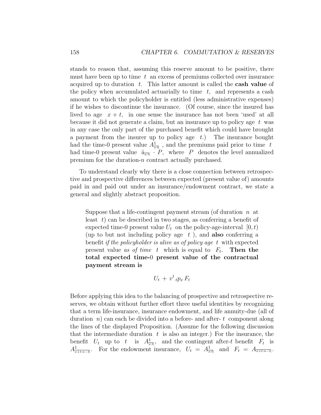stands to reason that, assuming this reserve amount to be positive, there must have been up to time  $t$  an excess of premiums collected over insurance acquired up to duration  $t$ . This latter amount is called the **cash value** of the policy when accumulated actuarially to time  $t$ , and represents a cash amount to which the policyholder is entitled (less administrative expenses) if he wishes to discontinue the insurance. (Of course, since the insured has lived to age  $x + t$ , in one sense the insurance has not been 'used' at all because it did not generate a claim, but an insurance up to policy age  $t$  was in any case the only part of the purchased benefit which could have brought a payment from the insurer up to policy age  $t$ .) The insurance bought had the time-0 present value  $A^1_{\overline{x}:\overline{t}\rceil}$ , and the premiums paid prior to time t had time-0 present value  $\ddot{a}_{\overline{x}:\overline{t}}$   $\cdot$  P, where P denotes the level annualized premium for the duration-n contract actually purchased.

To understand clearly why there is a close connection between retrospective and prospective differences between expected (present value of) amounts paid in and paid out under an insurance/endowment contract, we state a general and slightly abstract proposition.

Suppose that a life-contingent payment stream (of duration  $n \alpha$ least  $t$ ) can be described in two stages, as conferring a benefit of expected time-0 present value  $U_t$  on the policy-age-interval  $[0, t)$ (up to but not including policy age  $t$ ), and **also** conferring a benefit if the policyholder is alive as of policy age  $t$  with expected present value as of time t which is equal to  $F_t$ . Then the total expected time-0 present value of the contractual payment stream is

$$
U_t + v^t \, t p_x \, F_t
$$

Before applying this idea to the balancing of prospective and retrospective reserves, we obtain without further effort three useful identities by recognizing that a term life-insurance, insurance endowment, and life annuity-due (all of duration  $n)$  can each be divided into a before- and after- t component along the lines of the displayed Proposition. (Assume for the following discussion that the intermediate duration  $t$  is also an integer.) For the insurance, the benefit  $U_t$  up to t is  $A^1_{\overline{x}:\overline{t}}$ , and the contingent after-t benefit  $F_t$  is  $A_{\overline{x+t:n-t}}^{\mathbf{1}}$ . For the endowment insurance,  $U_t = A_{\overline{x+t}}^{\mathbf{1}}$  and  $F_t = A_{\overline{x+t:n-t}}$ .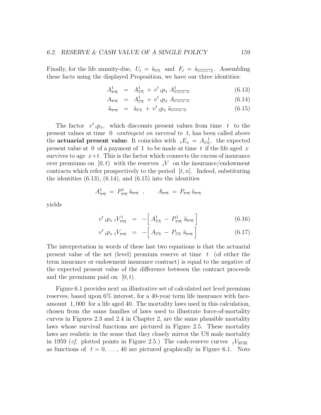Finally, for the life annuity-due,  $U_t = \ddot{a}_{\overline{x}:t}$  and  $F_t = \ddot{a}_{\overline{x+t:n-t}}$ . Assembling these facts using the displayed Proposition, we have our three identities:

$$
A_{\overline{x}:\overline{n}|}^1 = A_{\overline{x}:\overline{t}|}^1 + v^t \, t p_x \, A_{\overline{x} + t : n - \overline{t}|}^1 \tag{6.13}
$$

$$
A_{\overline{x:n}} = A_{\overline{x:t}}^1 + v^t \, t p_x \, A_{\overline{x+t:n-t}} \tag{6.14}
$$

$$
\ddot{\mathbf{a}}_{\overline{x}:\overline{n}|} = \ddot{\mathbf{a}}_{\overline{x}:\overline{t}|} + v^t{}_t p_x \ddot{\mathbf{a}}_{\overline{x+t:n-t}|} \tag{6.15}
$$

The factor  $v^t{}_tp_x$ , which discounts present values from time t to the present values at time 0 contingent on survival to t, has been called above the **actuarial present value**. It coincides with  ${}_{t}E_x = A_{\overline{x}}^{\ \ 1}$ , the expected present value at 0 of a payment of 1 to be made at time t if the life aged  $x$ survives to age  $x+t$ . This is the factor which connects the excess of insurance over premiums on  $[0, t)$  with the reserves  $tV$  on the insurance/endowment contracts which refer prospectively to the period  $[t, n]$ . Indeed, substituting the identities  $(6.13)$ ,  $(6.14)$ , and  $(6.15)$  into the identities

$$
A_{\overline{x:\overline{n}}}=P_{\overline{x:\overline{n}}}^1 \tilde{a}_{\overline{x:\overline{n}}}, \qquad A_{\overline{x:\overline{n}}}=P_{\overline{x:\overline{n}}} \tilde{a}_{\overline{x:\overline{n}}}
$$

yields

$$
v^{t} \, t p_{x} \, t V_{\overline{x:n}}^{1} = - \left[ A^{1}_{\overline{x:n}} - P^{1}_{\overline{x:n}} \, \ddot{a}_{\overline{x:n}} \right] \tag{6.16}
$$

$$
v^t \, t p_x \, t V_{\overline{x:n}} = - \left[ A_{\overline{x:t}} - P_{\overline{x:t}} \, \ddot{a}_{\overline{x:n}} \right] \tag{6.17}
$$

The interpretation in words of these last two equations is that the actuarial present value of the net (level) premium reserve at time  $t$  (of either the term insurance or endowment insurance contract) is equal to the negative of the expected present value of the difference between the contract proceeds and the premiums paid on  $[0, t)$ .

Figure 6.1 provides next an illustrative set of calculated net level premium reserves, based upon 6% interest, for a 40-year term life insurance with faceamount 1, 000 for a life aged 40. The mortality laws used in this calculation, chosen from the same families of laws used to illustrate force-of-mortality curves in Figures 2.3 and 2.4 in Chapter 2, are the same plausible mortality laws whose survival functions are pictured in Figure 2.5. These mortality laws are realistic in the sense that they closely mirror the US male mortality in 1959 (*cf.* plotted points in Figure 2.5.) The cash-reserve curves  $t^{\frac{V_{40:40}}{V_{40:40}}}$ as functions of  $t = 0, \ldots, 40$  are pictured graphically in Figure 6.1. Note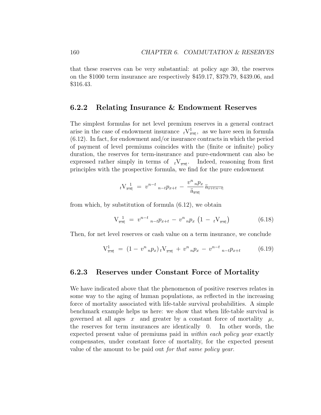that these reserves can be very substantial: at policy age 30, the reserves on the \$1000 term insurance are respectively \$459.17, \$379.79, \$439.06, and \$316.43.

#### 6.2.2 Relating Insurance & Endowment Reserves

The simplest formulas for net level premium reserves in a general contract arise in the case of endowment insurance  $\ _tV^1_{\overline{x}:\overline{n}|}$ , as we have seen in formula (6.12). In fact, for endowment and/or insurance contracts in which the period of payment of level premiums coincides with the (finite or infinite) policy duration, the reserves for term-insurance and pure-endowment can also be expressed rather simply in terms of  $tV_{\overline{x}:\overline{n}}$ . Indeed, reasoning from first principles with the prospective formula, we find for the pure endowment

$$
{}_{t}V^{\ 1}_{\overline{x:n}} = v^{n-t} {}_{n-t}p_{x+t} - \frac{v^n {}_{n}p_x}{\ddot{a}_{\overline{x:n}}} \ddot{a}_{\overline{x+t:n-t}}
$$

from which, by substitution of formula (6.12), we obtain

$$
V_{\overline{x}:\overline{n}|} = v^{n-t}{}_{n-t}p_{x+t} - v^n{}_{n}p_x \left(1 - tV_{\overline{x}:\overline{n}|}\right) \tag{6.18}
$$

Then, for net level reserves or cash value on a term insurance, we conclude

$$
V_{\overline{x:n}}^1 = (1 - v^n{}_n p_x)_t V_{\overline{x:n}} + v^n{}_n p_x - v^{n-t}{}_n t p_{x+t} \qquad (6.19)
$$

#### 6.2.3 Reserves under Constant Force of Mortality

We have indicated above that the phenomenon of positive reserves relates in some way to the aging of human populations, as reflected in the increasing force of mortality associated with life-table survival probabilities. A simple benchmark example helps us here: we show that when life-table survival is governed at all ages x and greater by a constant force of mortality  $\mu$ , the reserves for term insurances are identically 0. In other words, the expected present value of premiums paid in *within each policy year* exactly compensates, under constant force of mortality, for the expected present value of the amount to be paid out for that same policy year.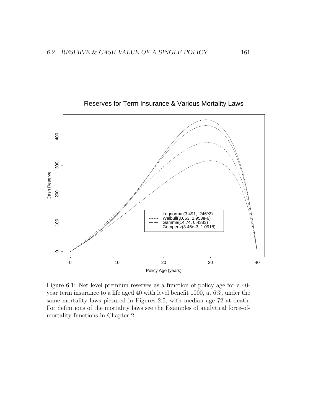

#### Reserves for Term Insurance & Various Mortality Laws

Figure 6.1: Net level premium reserves as a function of policy age for a 40 year term insurance to a life aged 40 with level benefit 1000, at 6%, under the same mortality laws pictured in Figures 2.5, with median age 72 at death. For definitions of the mortality laws see the Examples of analytical force-ofmortality functions in Chapter 2.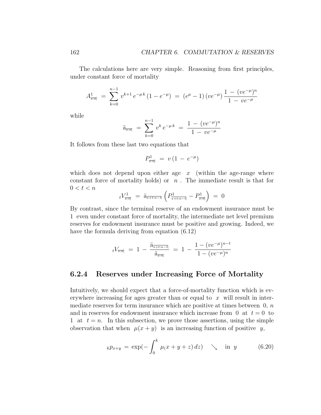The calculations here are very simple. Reasoning from first principles, under constant force of mortality

$$
A_{\overline{x}:\overline{n}|}^1 = \sum_{k=0}^{n-1} v^{k+1} e^{-\mu k} (1 - e^{-\mu}) = (e^{\mu} - 1) (ve^{-\mu}) \frac{1 - (ve^{-\mu})^n}{1 - ve^{-\mu}}
$$

while

$$
\ddot{a}_{\overline{x}:\overline{n}|} = \sum_{k=0}^{n-1} v^k e^{-\mu k} = \frac{1 - (ve^{-\mu})^n}{1 - ve^{-\mu}}
$$

It follows from these last two equations that

$$
P^1_{\overline{x:n}} = v \left( 1 - e^{-\mu} \right)
$$

which does not depend upon either age  $x$  (within the age-range where constant force of mortality holds) or  $n$ . The immediate result is that for  $0 < t < n$ 

$$
tV^1_{\overline{x:\overline{n}|}} = \ddot{a}_{\overline{x+t:n-l}} \left( P^1_{\overline{x+t:n-l}} - P^1_{\overline{x:\overline{n}|}} \right) = 0
$$

By contrast, since the terminal reserve of an endowment insurance must be 1 even under constant force of mortality, the intermediate net level premium reserves for endowment insurance must be positive and growing. Indeed, we have the formula deriving from equation (6.12)

$$
{}_{t}V_{\overline{x}:\overline{n}|} = 1 - \frac{\ddot{a}_{\overline{x+t:n-t}|}}{\ddot{a}_{\overline{x}:\overline{n}|}} = 1 - \frac{1-(ve^{-\mu})^{n-t}}{1-(ve^{-\mu})^n}
$$

#### 6.2.4 Reserves under Increasing Force of Mortality

Intuitively, we should expect that a force-of-mortality function which is everywhere increasing for ages greater than or equal to  $x$  will result in intermediate reserves for term insurance which are positive at times between  $\theta$ , n and in reserves for endowment insurance which increase from 0 at  $t = 0$  to 1 at  $t = n$ . In this subsection, we prove those assertions, using the simple observation that when  $\mu(x + y)$  is an increasing function of positive y,

$$
_{k}p_{x+y} = \exp(-\int_{0}^{k} \mu(x+y+z) \, dz) \quad \searrow \quad \text{in} \ \ y \tag{6.20}
$$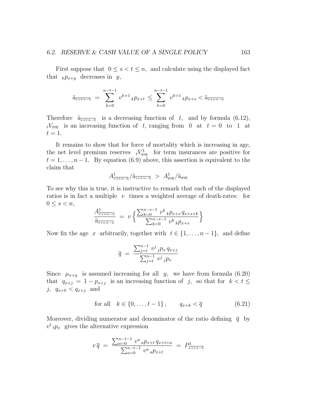First suppose that  $0 \leq s < t \leq n$ , and calculate using the displayed fact that  $_k p_{x+y}$  decreases in y,

$$
\ddot{\mathbf{a}}_{\overline{x+t:n-t}} = \sum_{k=0}^{n-t-1} v^{k+1} k p_{x+t} \le \sum_{k=0}^{n-t-1} v^{k+1} k p_{x+s} < \ddot{\mathbf{a}}_{\overline{x+s:n-s}}
$$

Therefore  $\ddot{a}_{\overline{x+t:n-t|}}$  is a decreasing function of t, and by formula (6.12),  $t \sqrt{\frac{V_{\overline{x}}}{k}}$  is an increasing function of t, ranging from 0 at  $t = 0$  to 1 at  $t=1$ .

It remains to show that for force of mortality which is increasing in age, the net level premium reserves  $tV_{\overline{x}:\overline{n}}^{1}$  for term insurances are positive for  $t = 1, \ldots, n-1$ . By equation (6.9) above, this assertion is equivalent to the claim that

$$
A_{\overline{x+t:n-t}}^1/\ddot{a}_{\overline{x+t:n-t}} > A_{\overline{x:n}}^1/\ddot{a}_{\overline{x:n}}
$$

To see why this is true, it is instructive to remark that each of the displayed ratios is in fact a multiple  $v$  times a weighted average of death-rates: for  $0 \leq s < n$ ,

$$
\frac{A^1_{\frac{k}{x+s:n-s]}}}{\ddot{a}_{\frac{k}{x+s:n-s]}}}\ =\ v\left\{\frac{\sum_{k=0}^{n-s-1}v^k\,{}_kp_{x+s}\,q_{x+s+k}}{\sum_{k=0}^{n-s-1}v^k\,{}_kp_{x+s}}\right\}
$$

Now fix the age x arbitrarily, together with  $t \in \{1, \ldots, n-1\}$ , and define

$$
\overline{q} = \frac{\sum_{j=t}^{n-1} v^j \, j p_x \, q_{x+j}}{\sum_{j=t}^{n-1} v^j \, j p_x}
$$

Since  $\mu_{x+y}$  is assumed increasing for all y, we have from formula (6.20) that  $q_{x+j} = 1 - p_{x+j}$  is an increasing function of j, so that for  $k < t \leq$ j,  $q_{x+k} < q_{x+j}$  and

for all 
$$
k \in \{0, ..., t-1\}
$$
,  $q_{x+k} < \overline{q}$  (6.21)

Moreover, dividing numerator and denominator of the ratio defining  $\bar{q}$  by  $v^t$ <sub>t</sub> $p_x$  gives the alternative expression

$$
v \overline{q} = \frac{\sum_{a=0}^{n-t-1} v^a a p_{x+t} q_{x+t+a}}{\sum_{a=0}^{n-t-1} v^a a p_{x+t}} = P^1_{x+t:n-t}
$$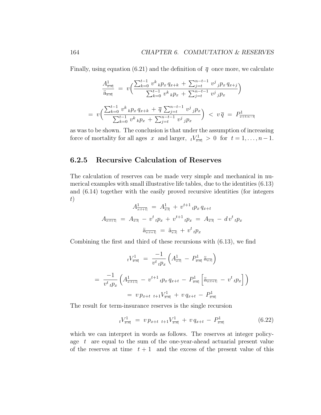Finally, using equation (6.21) and the definition of  $\bar{q}$  once more, we calculate

$$
\frac{A_{\overline{x}:\overline{n}|}^{1}}{\ddot{a}_{\overline{x}:\overline{n}|}} = v\left(\frac{\sum_{k=0}^{t-1} v^{k} {}_{k}p_{x} q_{x+k} + \sum_{j=t}^{n-t-1} v^{j} {}_{j}p_{x} q_{x+j}}{\sum_{k=0}^{t-1} v^{k} {}_{k}p_{x} + \sum_{j=t}^{n-t-1} v^{j} {}_{j}p_{x}}\right)
$$
\n
$$
= v\left(\frac{\sum_{k=0}^{t-1} v^{k} {}_{k}p_{x} q_{x+k} + \overline{q} \sum_{j=t}^{n-t-1} v^{j} {}_{j}p_{x}}{\sum_{k=0}^{t-1} v^{k} {}_{k}p_{x} + \sum_{j=t}^{n-t-1} v^{j} {}_{j}p_{x}}\right) < v\overline{q} = P_{\overline{x+t:n-t}}
$$

as was to be shown. The conclusion is that under the assumption of increasing force of mortality for all ages x and larger,  $t\frac{V_{\overline{x}}}{\sqrt{x}} > 0$  for  $t = 1, \ldots, n-1$ .

#### 6.2.5 Recursive Calculation of Reserves

The calculation of reserves can be made very simple and mechanical in numerical examples with small illustrative life tables, due to the identities (6.13) and (6.14) together with the easily proved recursive identities (for integers t)

$$
A_{\overline{x:t+1}}^1 = A_{\overline{x:t}}^1 + v^{t+1}{}_tp_x q_{x+t}
$$
  

$$
A_{\overline{x:t+1}} = A_{\overline{x:t}} - v^t{}_tp_x + v^{t+1}{}_tp_x = A_{\overline{x:t}} - dv^t{}_tp_x
$$
  

$$
\ddot{a}_{\overline{x:t+1}} = \ddot{a}_{\overline{x:t}} + v^t{}_tp_x
$$

Combining the first and third of these recursions with (6.13), we find

$$
{}_{t}V_{\overline{x:\overline{n}}}^{1} = \frac{-1}{v^{t} {}_{t}p_{x}} \left( A_{\overline{x:\overline{t}}}^{1} - P_{\overline{x:\overline{n}}}^{1} \ddot{a}_{\overline{x:\overline{t}}} \right)
$$
  

$$
= \frac{-1}{v^{t} {}_{t}p_{x}} \left( A_{\overline{x:\overline{t+1}}}^{1} - v^{t+1} {}_{t}p_{x} q_{x+t} - P_{\overline{x:\overline{n}}}^{1} \left[ \ddot{a}_{\overline{x:\overline{t+1}}} - v^{t} {}_{t}p_{x} \right] \right)
$$
  

$$
= v p_{x+t} {}_{t+1}V_{\overline{x:\overline{n}}}^{1} + v q_{x+t} - P_{\overline{x:\overline{n}}}^{1}
$$

The result for term-insurance reserves is the single recursion

$$
tV_{\overline{x}:\overline{n}|}^1 = v p_{x+t} t+1 V_{\overline{x}:\overline{n}|}^1 + v q_{x+t} - P_{\overline{x}:\overline{n}|}^1 \tag{6.22}
$$

which we can interpret in words as follows. The reserves at integer policyage t are equal to the sum of the one-year-ahead actuarial present value of the reserves at time  $t + 1$  and the excess of the present value of this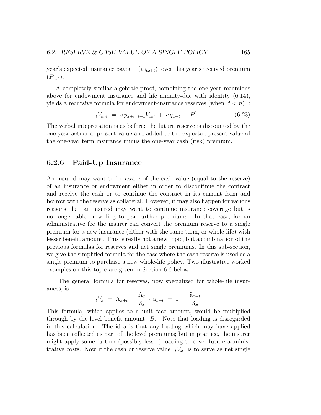year's expected insurance payout  $(v q_{x+t})$  over this year's received premium  $(P_{\overline{x:n}}^1).$ 

A completely similar algebraic proof, combining the one-year recursions above for endowment insurance and life annuity-due with identity (6.14), yields a recursive formula for endowment-insurance reserves (when  $t < n$ ):

$$
tV_{\overline{x:n}} = v p_{x+t} t+1 V_{\overline{x:n}} + v q_{x+t} - P_{\overline{x:n}}^1 \tag{6.23}
$$

The verbal intepretation is as before: the future reserve is discounted by the one-year actuarial present value and added to the expected present value of the one-year term insurance minus the one-year cash (risk) premium.

#### 6.2.6 Paid-Up Insurance

An insured may want to be aware of the cash value (equal to the reserve) of an insurance or endowment either in order to discontinue the contract and receive the cash or to continue the contract in its current form and borrow with the reserve as collateral. However, it may also happen for various reasons that an insured may want to continue insurance coverage but is no longer able or willing to par further premiums. In that case, for an administrative fee the insurer can convert the premium reserve to a single premium for a new insurance (either with the same term, or whole-life) with lesser benefit amount. This is really not a new topic, but a combination of the previous formulas for reserves and net single premiums. In this sub-section, we give the simplified formula for the case where the cash reserve is used as a single premium to purchase a new whole-life policy. Two illustrative worked examples on this topic are given in Section 6.6 below.

The general formula for reserves, now specialized for whole-life insurances, is

$$
{}_{t}V_{x} = \mathbf{A}_{x+t} - \frac{\mathbf{A}_{x}}{\ddot{\mathbf{a}}_{x}} \cdot \ddot{\mathbf{a}}_{x+t} = 1 - \frac{\ddot{\mathbf{a}}_{x+t}}{\ddot{\mathbf{a}}_{x}}
$$

This formula, which applies to a unit face amount, would be multiplied through by the level benefit amount  $B$ . Note that loading is disregarded in this calculation. The idea is that any loading which may have applied has been collected as part of the level premiums; but in practice, the insurer might apply some further (possibly lesser) loading to cover future administrative costs. Now if the cash or reserve value  $tV_x$  is to serve as net single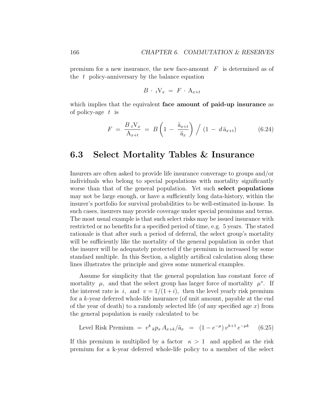premium for a new insurance, the new face-amount  $F$  is determined as of the  $t$  policy-anniversary by the balance equation

$$
B \cdot tV_x = F \cdot A_{x+t}
$$

which implies that the equivalent face amount of paid-up insurance as of policy-age  $t$  is

$$
F = \frac{B_t V_x}{A_{x+t}} = B \left( 1 - \frac{\ddot{a}_{x+t}}{\ddot{a}_x} \right) / (1 - d \ddot{a}_{x+t}) \tag{6.24}
$$

## 6.3 Select Mortality Tables & Insurance

Insurers are often asked to provide life insurance converage to groups and/or individuals who belong to special populations with mortality significantly worse than that of the general population. Yet such select populations may not be large enough, or have a sufficiently long data-history, within the insurer's portfolio for survival probabilities to be well-estimated in-house. In such cases, insurers may provide coverage under special premiums and terms. The most usual example is that such select risks may be issued insurance with restricted or no benefits for a specified period of time, e.g. 5 years. The stated rationale is that after such a period of deferral, the select group's mortality will be sufficiently like the mortality of the general population in order that the insurer will be adequately protected if the premium in increased by some standard multiple. In this Section, a slightly artifical calculation along these lines illustrates the principle and gives some numerical examples.

Assume for simplicity that the general population has constant force of mortality  $\mu$ , and that the select group has larger force of mortality  $\mu^*$ . If the interest rate is i, and  $v = 1/(1+i)$ , then the level yearly risk premium for a k-year deferred whole-life insurance (of unit amount, payable at the end of the year of death) to a randomly selected life (of any specified age  $x$ ) from the general population is easily calculated to be

Level Risk Premium = 
$$
v^k{}_k p_x A_{x+k}/\ddot{a}_x = (1 - e^{-\mu}) v^{k+1} e^{-\mu k}
$$
 (6.25)

If this premium is multiplied by a factor  $\kappa > 1$  and applied as the risk premium for a k-year deferred whole-life policy to a member of the select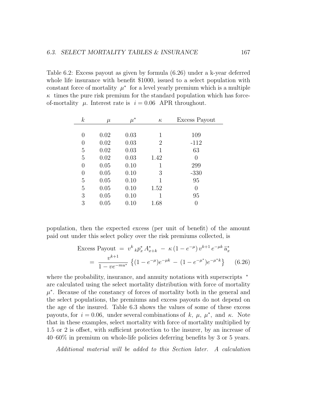Table 6.2: Excess payout as given by formula (6.26) under a k-year deferred whole life insurance with benefit \$1000, issued to a select population with constant force of mortality  $\mu^*$  for a level yearly premium which is a multiple  $\kappa$  times the pure risk premium for the standard population which has forceof-mortality  $\mu$ . Interest rate is  $i = 0.06$  APR throughout.

| $\boldsymbol{k}$ | $\mu$ | $\mu^*$ | $\kappa$       | Excess Payout |
|------------------|-------|---------|----------------|---------------|
|                  |       |         |                |               |
| 0                | 0.02  | 0.03    | 1              | 109           |
| $\left( \right)$ | 0.02  | 0.03    | $\overline{2}$ | $-112$        |
| $\overline{5}$   | 0.02  | 0.03    | 1              | 63            |
| 5                | 0.02  | 0.03    | 1.42           | 0             |
| 0                | 0.05  | 0.10    | 1              | 299           |
| 0                | 0.05  | 0.10    | 3              | $-330$        |
| $\overline{5}$   | 0.05  | 0.10    | 1              | 95            |
| $\overline{5}$   | 0.05  | 0.10    | 1.52           | 0             |
| 3                | 0.05  | 0.10    | 1              | 95            |
| 3                | 0.05  | 0.10    | 1.68           |               |

population, then the expected excess (per unit of benefit) of the amount paid out under this select policy over the risk premiums collected, is

Excess Payout = 
$$
v^k{}_k p_x^* A_{x+k}^* - \kappa (1 - e^{-\mu}) v^{k+1} e^{-\mu k} \ddot{a}_x^*
$$
  
\n=  $\frac{v^{k+1}}{1 - v e^{-m u^*}} \left\{ (1 - e^{-\mu}) e^{-\mu k} - (1 - e^{-\mu^*}) e^{-\mu^* k} \right\}$  (6.26)

where the probability, insurance, and annuity notations with superscripts  $*$ are calculated using the select mortality distribution with force of mortality  $\mu^*$ . Because of the constancy of forces of mortality both in the general and the select populations, the premiums and excess payouts do not depend on the age of the insured. Table 6.3 shows the values of some of these excess payouts, for  $i = 0.06$ , under several combinations of k,  $\mu$ ,  $\mu^*$ , and k. Note that in these examples, select mortality with force of mortality multiplied by 1.5 or 2 is offset, with sufficient protection to the insurer, by an increase of 40–60% in premium on whole-life policies deferring benefits by 3 or 5 years.

Additional material will be added to this Section later. A calculation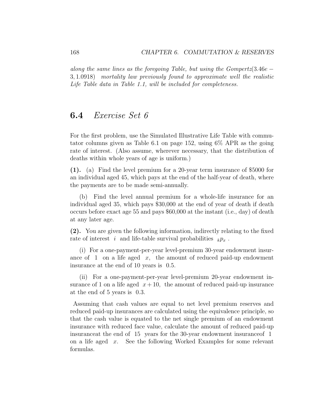along the same lines as the foregoing Table, but using the Gompertz(3.46e – 3, 1.0918) mortality law previously found to approximate well the realistic Life Table data in Table 1.1, will be included for completeness.

#### 6.4 Exercise Set 6

For the first problem, use the Simulated Illustrative Life Table with commutator columns given as Table 6.1 on page 152, using 6% APR as the going rate of interest. (Also assume, wherever necessary, that the distribution of deaths within whole years of age is uniform.)

(1). (a) Find the level premium for a 20-year term insurance of \$5000 for an individual aged 45, which pays at the end of the half-year of death, where the payments are to be made semi-annually.

(b) Find the level annual premium for a whole-life insurance for an individual aged 35, which pays \$30,000 at the end of year of death if death occurs before exact age 55 and pays \$60,000 at the instant (i.e., day) of death at any later age.

(2). You are given the following information, indirectly relating to the fixed rate of interest i and life-table survival probabilities  $k p_x$ .

(i) For a one-payment-per-year level-premium 30-year endowment insurance of 1 on a life aged  $x$ , the amount of reduced paid-up endowment insurance at the end of 10 years is 0.5.

(ii) For a one-payment-per-year level-premium 20-year endowment insurance of 1 on a life aged  $x + 10$ , the amount of reduced paid-up insurance at the end of 5 years is 0.3.

Assuming that cash values are equal to net level premium reserves and reduced paid-up insurances are calculated using the equivalence principle, so that the cash value is equated to the net single premium of an endowment insurance with reduced face value, calculate the amount of reduced paid-up insuranceat the end of 15 years for the 30-year endowment insuranceof 1 on a life aged  $x$ . See the following Worked Examples for some relevant formulas.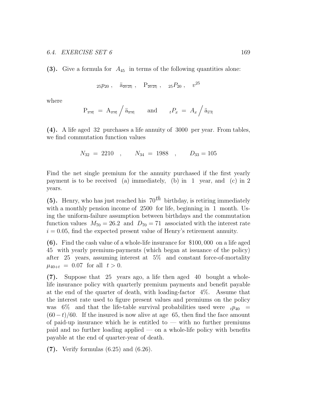(3). Give a formula for  $A_{45}$  in terms of the following quantities alone:

$$
25p_{20} , \quad \ddot{a}_{\overline{20:25}}
$$
,  $P_{\overline{20:25}}$ ,  $25P_{20}$ ,  $v^{25}$ 

where

$$
\mathbf{P}_{\overline{x:n}} = \mathbf{A}_{\overline{x:n}} \Big/ \ddot{\mathbf{a}}_{\overline{x:n}} \qquad \text{and} \qquad {}_{t}P_{x} = A_{x} \Big/ \ddot{\mathbf{a}}_{\overline{x:t}}
$$

(4). A life aged 32 purchases a life annuity of 3000 per year. From tables, we find commutation function values

$$
N_{32} = 2210 \quad , \qquad N_{34} = 1988 \quad , \qquad D_{33} = 105
$$

Find the net single premium for the annuity purchased if the first yearly payment is to be received (a) immediately, (b) in 1 year, and (c) in 2 years.

(5). Henry, who has just reached his  $70^{th}$  birthday, is retiring immediately with a monthly pension income of 2500 for life, beginning in 1 month. Using the uniform-failure assumption between birthdays and the commutation function values  $M_{70} = 26.2$  and  $D_{70} = 71$  associated with the interest rate  $i = 0.05$ , find the expected present value of Henry's retirement annuity.

(6). Find the cash value of a whole-life insurance for \$100, 000 on a life aged 45 with yearly premium-payments (which began at issuance of the policy) after 25 years, assuming interest at 5% and constant force-of-mortality  $\mu_{40+t} = 0.07$  for all  $t > 0$ .

(7). Suppose that 25 years ago, a life then aged 40 bought a wholelife insurance policy with quarterly premium payments and benefit payable at the end of the quarter of death, with loading-factor 4%. Assume that the interest rate used to figure present values and premiums on the policy was 6% and that the life-table survival probabilities used were  $t_{p40}$  =  $(60-t)/60$ . If the insured is now alive at age 65, then find the face amount of paid-up insurance which he is entitled to  $-$  with no further premiums paid and no further loading applied — on a whole-life policy with benefits payable at the end of quarter-year of death.

(7). Verify formulas (6.25) and (6.26).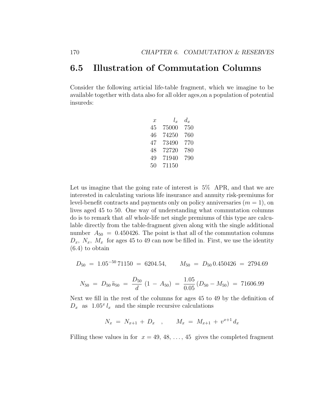## 6.5 Illustration of Commutation Columns

Consider the following articial life-table fragment, which we imagine to be available together with data also for all older ages,on a population of potential insureds:

| x  | $l_r$ | $d_x$ |
|----|-------|-------|
| 45 | 75000 | 750   |
| 46 | 74250 | 760   |
| 47 | 73490 | 770   |
| 48 | 72720 | 780   |
| 49 | 71940 | 790   |
| 50 | 71150 |       |

Let us imagine that the going rate of interest is 5% APR, and that we are interested in calculating various life insurance and annuity risk-premiums for level-benefit contracts and payments only on policy anniversaries  $(m = 1)$ , on lives aged 45 to 50. One way of understanding what commutation columns do is to remark that all whole-life net single premiums of this type are calculable directly from the table-fragment given along with the single additional number  $A_{50} = 0.450426$ . The point is that all of the commutation columns  $D_x$ ,  $N_x$ ,  $M_x$  for ages 45 to 49 can now be filled in. First, we use the identity (6.4) to obtain

$$
D_{50} = 1.05^{-50} 71150 = 6204.54, \qquad M_{50} = D_{50} 0.450426 = 2794.69
$$

$$
N_{50} = D_{50} \ddot{a}_{50} = \frac{D_{50}}{d} (1 - A_{50}) = \frac{1.05}{0.05} (D_{50} - M_{50}) = 71606.99
$$

Next we fill in the rest of the columns for ages 45 to 49 by the definition of  $D_x$  as  $1.05^x l_x$  and the simple recursive calculations

$$
N_x = N_{x+1} + D_x \quad , \qquad M_x = M_{x+1} + v^{x+1} d_x
$$

Filling these values in for  $x = 49, 48, \ldots, 45$  gives the completed fragment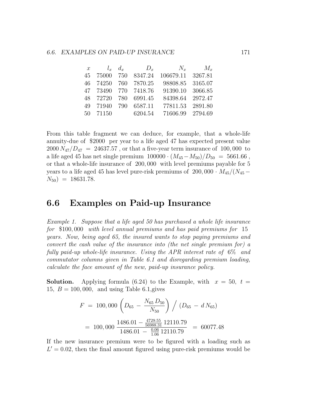|    |  |                      | x $l_x$ $d_x$ $D_x$ $N_x$ $M_x$ |         |
|----|--|----------------------|---------------------------------|---------|
| 45 |  | 75000 750 8347.24    | 106679.11 3267.81               |         |
|    |  | 46 74250 760 7870.25 | 98808.85 3165.07                |         |
|    |  | 47 73490 770 7418.76 | 91390.10 3066.85                |         |
|    |  | 48 72720 780 6991.45 | 84398.64 2972.47                |         |
|    |  | 49 71940 790 6587.11 | 77811.53                        | 2891.80 |
|    |  | 50 71150 6204.54     | 71606.99 2794.69                |         |

From this table fragment we can deduce, for example, that a whole-life annuity-due of \$2000 per year to a life aged 47 has expected present value  $2000 N_{47}/D_{47} = 24637.57$ , or that a five-year term insurance of 100,000 to a life aged 45 has net single premium  $100000 \cdot (M_{45} - M_{50})/D_{50} = 5661.66$ , or that a whole-life insurance of 200, 000 with level premiums payable for 5 years to a life aged 45 has level pure-risk premiums of 200,000  $\cdot$   $M_{45}/(N_{45} N_{50}$ ) = 18631.78.

### 6.6 Examples on Paid-up Insurance

Example 1. Suppose that a life aged 50 has purchased a whole life insurance for \$100, 000 with level annual premiums and has paid premiums for 15 years. Now, being aged 65, the insured wants to stop paying premiums and convert the cash value of the insurance into (the net single premium for) a fully paid-up whole-life insurance. Using the APR interest rate of 6% and commutator columns given in Table 6.1 and disregarding premium loading, calculate the face amount of the new, paid-up insurance policy.

**Solution.** Applying formula (6.24) to the Example, with  $x = 50$ ,  $t =$ 15,  $B = 100,000$ , and using Table 6.1, gives

$$
F = 100,000 \left( D_{65} - \frac{N_{65} D_{50}}{N_{50}} \right) / (D_{65} - d N_{65})
$$
  
= 100,000  $\frac{1486.01 - \frac{4729.55}{56988.31} 12110.79}{1486.01 - \frac{0.06}{1.06} 12110.79} = 60077.48$ 

If the new insurance premium were to be figured with a loading such as  $L' = 0.02$ , then the final amount figured using pure-risk premiums would be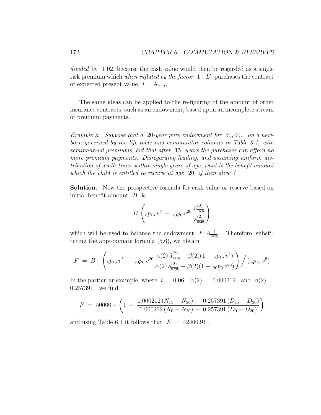divided by 1.02, because the cash value would then be regarded as a single risk premium which when inflated by the factor  $1+L'$  purchases the contract of expected present value  $F \cdot A_{x+t}$ .

The same ideas can be applied to the re-figuring of the amount of other insurance contracts, such as an endowment, based upon an incomplete stream of premium payments.

Example 2. Suppose that a 20-year pure endowment for 50, 000 on a newborn governed by the life-table and commutator columns in Table 6.1, with seminannual premiums, but that after 15 years the purchaser can afford no more premium payments. Disregarding loading, and assuming uniform distribution of death-times within single years of age, what is the benefit amount which the child is entitled to receive at age 20 if then alive ?

Solution. Now the prospective formula for cash value or reserve based on initial benefit amount  $B$  is

$$
B\left(5p_{15}v^5 - 20p_0v^{20}\frac{\ddot{a}_{15:5}^{(2)}}{\ddot{a}_{0:20}^{(2)}}\right)
$$

which will be used to balance the endowment  $F A_{\frac{1}{15:5}}^{\mathcal{I}}$ . Therefore, substituting the approximate formula (5.6), we obtain

$$
F = B \cdot \left(5p_{15}v^5 - 20p_0v^{20} \frac{\alpha(2) \ddot{a}_{15:5}^{(2)} - \beta(2)(1 - 5p_{15}v^5)}{\alpha(2) \ddot{a}_{0:20}^{(2)} - \beta(2)(1 - 20p_0v^{20})}\right) / (5p_{15}v^5)
$$

In the particular example, where  $i = 0.06$ ,  $\alpha(2) = 1.000212$ , and  $\beta(2) =$ 0.257391, we find

$$
F = 50000 \cdot \left(1 - \frac{1.000212 (N_{15} - N_{20}) - 0.257391 (D_{15} - D_{20})}{1.000212 (N_0 - N_{20}) - 0.257391 (D_0 - D_{20})}\right)
$$

and using Table 6.1 it follows that  $F = 42400.91$ .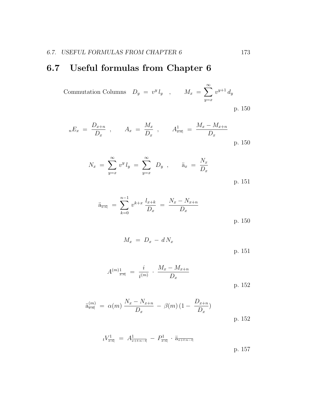## 6.7 Useful formulas from Chapter 6

Commutation Columns  $D_y = v^y l_y$ ,  $M_x = \sum_{n=1}^{\infty}$  $y=x$  $v^{y+1}$   $d_y$ p. 150

$$
_{n}E_{x} = \frac{D_{x+n}}{D_{x}}
$$
,  $A_{x} = \frac{M_{x}}{D_{x}}$ ,  $A_{\frac{1}{x:n}} = \frac{M_{x} - M_{x+n}}{D_{x}}$   
p. 150

$$
N_x = \sum_{y=x}^{\infty} v^y l_y = \sum_{y=x}^{\infty} D_y , \qquad \ddot{a}_x = \frac{N_x}{D_x}
$$
  
p. 151

$$
\ddot{a}_{\overline{x}:\overline{n}|} = \sum_{k=0}^{n-1} v^{k+x} \frac{l_{x+k}}{D_x} = \frac{N_x - N_{x+n}}{D_x}
$$
\np. 150

$$
M_x = D_x - dN_x
$$
 p. 151

$$
A^{(m)}_{\overline{x:n}|} = \frac{i}{i^{(m)}} \cdot \frac{M_x - M_{x+n}}{D_x}
$$

p. 152

$$
\ddot{\mathbf{a}}_{\overline{x}:\overline{n}|}^{(m)} = \alpha(m) \frac{N_x - N_{x+n}}{D_x} - \beta(m) (1 - \frac{D_{x+n}}{D_x})
$$

$$
tV^1_{\overline{x}:\overline{n}} = A^1_{\overline{x}+t:\overline{n}-\overline{t}} - P^1_{\overline{x}:\overline{n}} \cdot \ddot{a}_{\overline{x}+t:\overline{n}-\overline{t}}
$$

p. 157

p. 152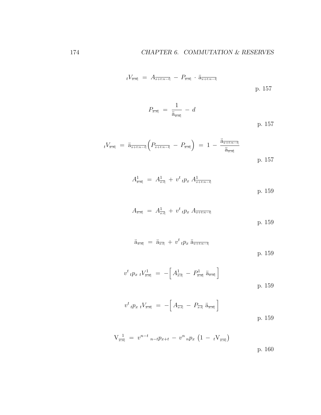$$
t^{V_{\overline{x:n}}} = A_{\overline{x+t:n-t}} - P_{\overline{x:n}} \cdot \ddot{a}_{\overline{x+t:n-t}}
$$
 p. 157

$$
P_{\overline{x:\overline{n}}}\ =\ \frac{1}{\ddot{a}_{\overline{x:\overline{n}}}}\ -\ d
$$
\np. 157

$$
t^{V_{\overline{x:n}}} = \ddot{a}_{\overline{x+t:n-t}} \left( P_{\overline{x+t:n-t}} - P_{\overline{x:n}} \right) = 1 - \frac{\ddot{a}_{\overline{x+t:n-t}}}{\ddot{a}_{\overline{x:n}}} \tag{p.157}
$$

$$
A_{\overline{x}:\overline{n}|}^1 = A_{\overline{x}:\overline{t}|}^1 + v^t{}_tp_x A_{\overline{x}+t:n-\overline{t}|}^1
$$
 p. 159

$$
A_{\overline{x}:\overline{n}|} = A_{\overline{x}:\overline{t}|}^1 + v^t{}_tp_x A_{\overline{x}+t:n-\overline{t}|} \tag{p.159}
$$

$$
\ddot{\mathbf{a}}_{\overline{x:n}} = \ddot{\mathbf{a}}_{\overline{x:t}} + v^t \iota p_x \ddot{\mathbf{a}}_{\overline{x+t:n-t}}
$$
 p. 159

$$
v^{t} \, t p_{x} \, t V_{\overline{x:n}}^{1} = - \left[ A_{\overline{x:t}}^{1} - P_{\overline{x:n}}^{1} \, \ddot{a}_{\overline{x:n}} \right]
$$
\np. 159

$$
v^{t} \, \iota p_{x} \, \iota V_{\overline{x} : \overline{n}} = - \Big[ A_{\overline{x} : \overline{t}} - P_{\overline{x} : \overline{t}} \, \widetilde{a}_{\overline{x} : \overline{n}} \Big] \tag{p. 159}
$$

$$
V_{\overline{x:n}}^1 = v^{n-t}{}_{n-t}p_{x+t} - v^n{}_{n}p_x \left(1 - tV_{\overline{x:n}}\right)
$$
 p. 160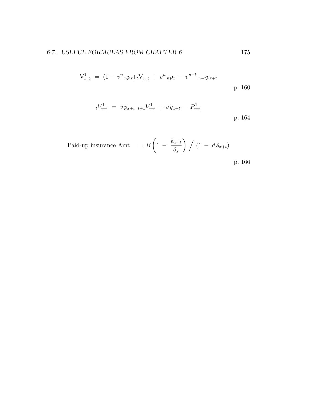$$
V^1_{\overline{x:n}} = (1 - v^n{}_n p_x)_t V_{\overline{x:n}} + v^n{}_n p_x - v^{n-t}{}_n t p_{x+t}
$$
\np. 160

$$
tV_{\overline{x:n}}^1 = v p_{x+t} t+1 V_{\overline{x:n}}^1 + v q_{x+t} - P_{\overline{x:n}}^1
$$
 p. 164

Paid-up insurance Amt  $=$  B  $\sqrt{ }$  $1 - \frac{\ddot{a}_{x+t}}{x}$  $\ddot{a}_x$  $\bigg) / (1 - d \ddot{a}_{x+t})$ 

p. 166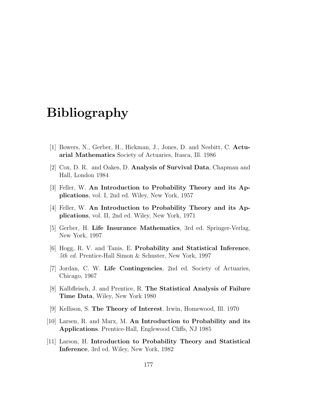## Bibliography

- [1] Bowers, N., Gerber, H., Hickman, J., Jones, D. and Nesbitt, C. Actuarial Mathematics Society of Actuaries, Itasca, Ill. 1986
- [2] Cox, D. R. and Oakes, D. Analysis of Survival Data, Chapman and Hall, London 1984
- [3] Feller, W. An Introduction to Probability Theory and its Applications, vol. I, 2nd ed. Wiley, New York, 1957
- [4] Feller, W. An Introduction to Probability Theory and its Applications, vol. II, 2nd ed. Wiley, New York, 1971
- [5] Gerber, H. Life Insurance Mathematics, 3rd ed. Springer-Verlag, New York, 1997
- [6] Hogg, R. V. and Tanis, E. Probability and Statistical Inference, 5th ed. Prentice-Hall Simon & Schuster, New York, 1997
- [7] Jordan, C. W. Life Contingencies, 2nd ed. Society of Actuaries, Chicago, 1967
- [8] Kalbfleisch, J. and Prentice, R. The Statistical Analysis of Failure Time Data, Wiley, New York 1980
- [9] Kellison, S. The Theory of Interest. Irwin, Homewood, Ill. 1970
- [10] Larsen, R. and Marx, M. An Introduction to Probability and its Applications. Prentice-Hall, Englewood Cliffs, NJ 1985
- [11] Larson, H. Introduction to Probability Theory and Statistical Inference, 3rd ed. Wiley, New York, 1982